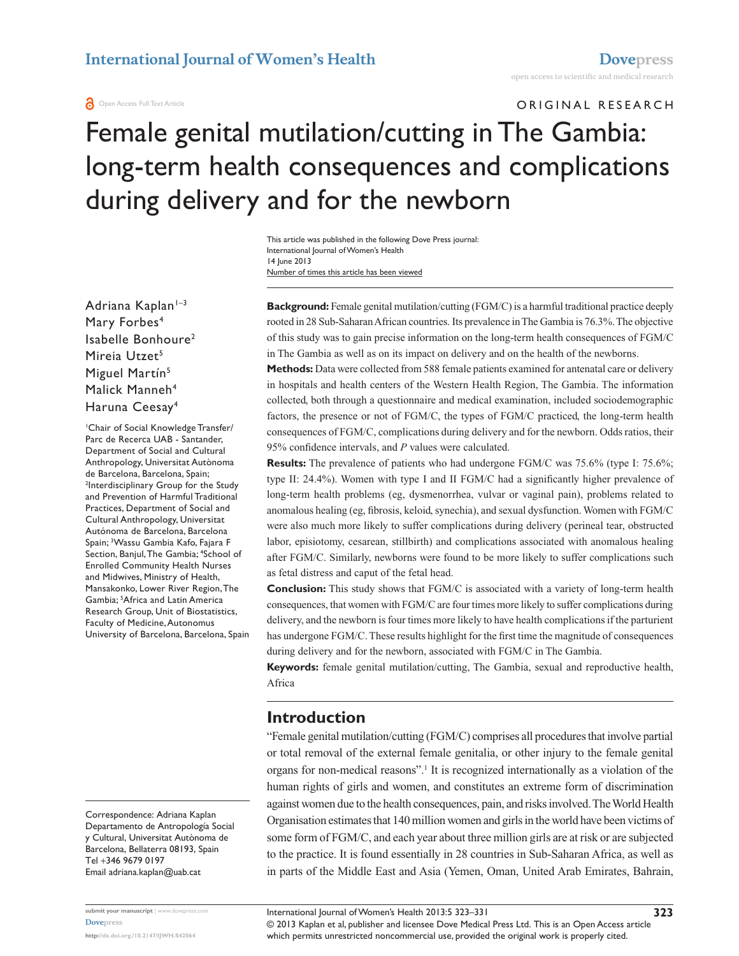#### **O** Open Access Full Text Article

ORIGINAL RESEARCH

# Female genital mutilation/cutting in The Gambia: long-term health consequences and complications during delivery and for the newborn

Number of times this article has been viewed This article was published in the following Dove Press journal: International Journal of Women's Health 14 June 2013

Adriana Kaplan<sup>1-3</sup> Mary Forbes<sup>4</sup> Isabelle Bonhoure2 Mireia Utzet<sup>5</sup> Miguel Martín<sup>5</sup> Malick Manneh<sup>4</sup> Haruna Ceesay<sup>4</sup>

1 Chair of Social Knowledge Transfer/ Parc de Recerca UAB - Santander, Department of Social and Cultural Anthropology, Universitat Autònoma de Barcelona, Barcelona, Spain; 2 Interdisciplinary Group for the Study and Prevention of Harmful Traditional Practices, Department of Social and Cultural Anthropology, Universitat Autónoma de Barcelona, Barcelona Spain; 3 Wassu Gambia Kafo, Fajara F Section, Banjul, The Gambia; 4 School of Enrolled Community Health Nurses and Midwives, Ministry of Health, Mansakonko, Lower River Region, The Gambia; 5 Africa and Latin America Research Group, Unit of Biostatistics, Faculty of Medicine, Autonomus University of Barcelona, Barcelona, Spain

Correspondence: Adriana Kaplan Departamento de Antropología Social y Cultural, Universitat Autònoma de Barcelona, Bellaterra 08193, Spain Tel +346 9679 0197 Email [adriana.kaplan@uab.cat](mailto:adriana.kaplan@uab.cat)

**submit your manuscript** | <www.dovepress.com> **[Dovepress](www.dovepress.com)**

**<http://dx.doi.org./10.2147/IJWH.S42064>**

**Background:** Female genital mutilation/cutting (FGM/C) is a harmful traditional practice deeply rooted in 28 Sub-Saharan African countries. Its prevalence in The Gambia is 76.3%. The objective of this study was to gain precise information on the long-term health consequences of FGM/C in The Gambia as well as on its impact on delivery and on the health of the newborns.

**Methods:** Data were collected from 588 female patients examined for antenatal care or delivery in hospitals and health centers of the Western Health Region, The Gambia. The information collected, both through a questionnaire and medical examination, included sociodemographic factors, the presence or not of FGM/C, the types of FGM/C practiced, the long-term health consequences of FGM/C, complications during delivery and for the newborn. Odds ratios, their 95% confidence intervals, and *P* values were calculated.

**Results:** The prevalence of patients who had undergone FGM/C was 75.6% (type I: 75.6%; type II: 24.4%). Women with type I and II FGM/C had a significantly higher prevalence of long-term health problems (eg, dysmenorrhea, vulvar or vaginal pain), problems related to anomalous healing (eg, fibrosis, keloid, synechia), and sexual dysfunction. Women with FGM/C were also much more likely to suffer complications during delivery (perineal tear, obstructed labor, episiotomy, cesarean, stillbirth) and complications associated with anomalous healing after FGM/C. Similarly, newborns were found to be more likely to suffer complications such as fetal distress and caput of the fetal head.

**Conclusion:** This study shows that FGM/C is associated with a variety of long-term health consequences, that women with FGM/C are four times more likely to suffer complications during delivery, and the newborn is four times more likely to have health complications if the parturient has undergone FGM/C. These results highlight for the first time the magnitude of consequences during delivery and for the newborn, associated with FGM/C in The Gambia.

**Keywords:** female genital mutilation/cutting, The Gambia, sexual and reproductive health, Africa

#### **Introduction**

"Female genital mutilation/cutting (FGM/C) comprises all procedures that involve partial or total removal of the external female genitalia, or other injury to the female genital organs for non-medical reasons".<sup>1</sup> It is recognized internationally as a violation of the human rights of girls and women, and constitutes an extreme form of discrimination against women due to the health consequences, pain, and risks involved. The World Health Organisation estimates that 140million women and girls in the world have been victims of some form of FGM/C, and each year about three million girls are at risk or are subjected to the practice. It is found essentially in 28 countries in Sub-Saharan Africa, as well as in parts of the Middle East and Asia (Yemen, Oman, United Arab Emirates, Bahrain,

© 2013 Kaplan et al, publisher and licensee Dove Medical Press Ltd. This is an Open Access article which permits unrestricted noncommercial use, provided the original work is properly cited.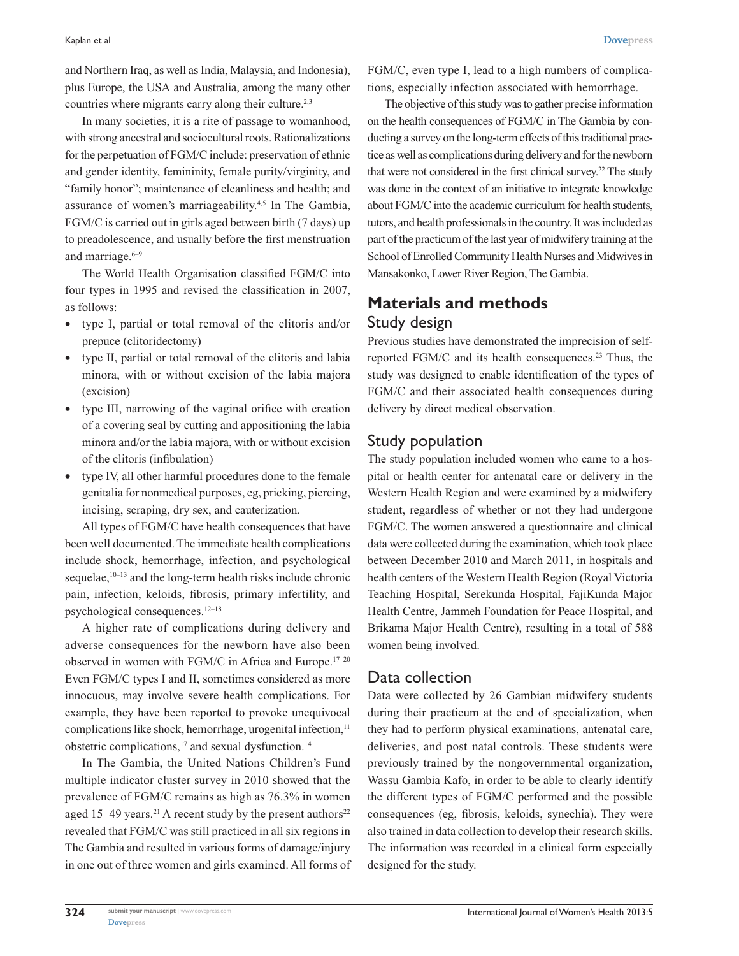and Northern Iraq, as well as India, Malaysia, and Indonesia), plus Europe, the USA and Australia, among the many other countries where migrants carry along their culture.<sup>2,3</sup>

In many societies, it is a rite of passage to womanhood, with strong ancestral and sociocultural roots. Rationalizations for the perpetuation of FGM/C include: preservation of ethnic and gender identity, femininity, female purity/virginity, and "family honor"; maintenance of cleanliness and health; and assurance of women's marriageability.<sup>4,5</sup> In The Gambia, FGM/C is carried out in girls aged between birth (7 days) up to preadolescence, and usually before the first menstruation and marriage. $6-9$ 

The World Health Organisation classified FGM/C into four types in 1995 and revised the classification in 2007, as follows:

- • type I, partial or total removal of the clitoris and/or prepuce (clitoridectomy)
- type II, partial or total removal of the clitoris and labia minora, with or without excision of the labia majora (excision)
- • type III, narrowing of the vaginal orifice with creation of a covering seal by cutting and appositioning the labia minora and/or the labia majora, with or without excision of the clitoris (infibulation)
- • type IV, all other harmful procedures done to the female genitalia for nonmedical purposes, eg, pricking, piercing, incising, scraping, dry sex, and cauterization.

All types of FGM/C have health consequences that have been well documented. The immediate health complications include shock, hemorrhage, infection, and psychological sequelae, $10-13$  and the long-term health risks include chronic pain, infection, keloids, fibrosis, primary infertility, and psychological consequences.12–18

A higher rate of complications during delivery and adverse consequences for the newborn have also been observed in women with  $FGM/C$  in Africa and Europe.<sup>17-20</sup> Even FGM/C types I and II, sometimes considered as more innocuous, may involve severe health complications. For example, they have been reported to provoke unequivocal complications like shock, hemorrhage, urogenital infection,<sup>11</sup> obstetric complications,<sup>17</sup> and sexual dysfunction.<sup>14</sup>

In The Gambia, the United Nations Children's Fund multiple indicator cluster survey in 2010 showed that the prevalence of FGM/C remains as high as 76.3% in women aged 15–49 years.<sup>21</sup> A recent study by the present authors<sup>22</sup> revealed that FGM/C was still practiced in all six regions in The Gambia and resulted in various forms of damage/injury in one out of three women and girls examined. All forms of FGM/C, even type I, lead to a high numbers of complications, especially infection associated with hemorrhage.

The objective of this study was to gather precise information on the health consequences of FGM/C in The Gambia by conducting a survey on the long-term effects of this traditional practice as well as complications during delivery and for the newborn that were not considered in the first clinical survey.<sup>22</sup> The study was done in the context of an initiative to integrate knowledge about FGM/C into the academic curriculum for health students, tutors, and health professionals in the country. It was included as part of the practicum of the last year of midwifery training at the School of Enrolled Community Health Nurses and Midwives in Mansakonko, Lower River Region, The Gambia.

# **Materials and methods** Study design

Previous studies have demonstrated the imprecision of selfreported FGM/C and its health consequences.23 Thus, the study was designed to enable identification of the types of FGM/C and their associated health consequences during delivery by direct medical observation.

#### Study population

The study population included women who came to a hospital or health center for antenatal care or delivery in the Western Health Region and were examined by a midwifery student, regardless of whether or not they had undergone FGM/C. The women answered a questionnaire and clinical data were collected during the examination, which took place between December 2010 and March 2011, in hospitals and health centers of the Western Health Region (Royal Victoria Teaching Hospital, Serekunda Hospital, FajiKunda Major Health Centre, Jammeh Foundation for Peace Hospital, and Brikama Major Health Centre), resulting in a total of 588 women being involved.

#### Data collection

Data were collected by 26 Gambian midwifery students during their practicum at the end of specialization, when they had to perform physical examinations, antenatal care, deliveries, and post natal controls. These students were previously trained by the nongovernmental organization, Wassu Gambia Kafo, in order to be able to clearly identify the different types of FGM/C performed and the possible consequences (eg, fibrosis, keloids, synechia). They were also trained in data collection to develop their research skills. The information was recorded in a clinical form especially designed for the study.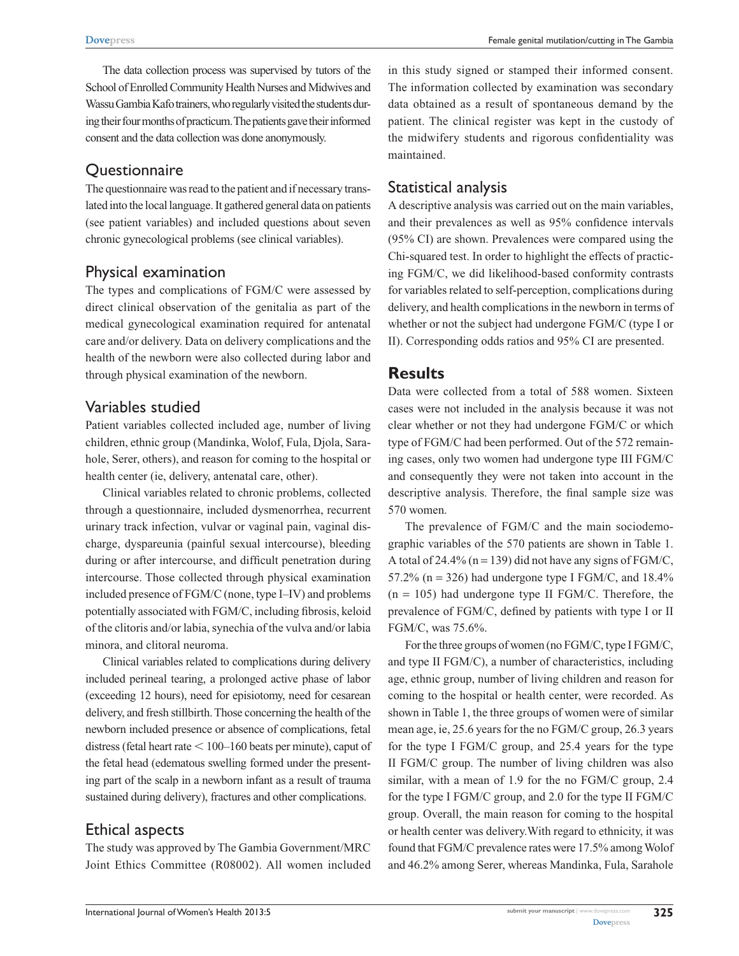Female genital mutilation/cutting in The Gambia

The data collection process was supervised by tutors of the School of Enrolled Community Health Nurses and Midwives and Wassu Gambia Kafo trainers, who regularly visited the students during their four months of practicum. The patients gave their informed consent and the data collection was done anonymously.

# **Ouestionnaire**

The questionnaire was read to the patient and if necessary translated into the local language. It gathered general data on patients (see patient variables) and included questions about seven chronic gynecological problems (see clinical variables).

## Physical examination

The types and complications of FGM/C were assessed by direct clinical observation of the genitalia as part of the medical gynecological examination required for antenatal care and/or delivery. Data on delivery complications and the health of the newborn were also collected during labor and through physical examination of the newborn.

## Variables studied

Patient variables collected included age, number of living children, ethnic group (Mandinka, Wolof, Fula, Djola, Sarahole, Serer, others), and reason for coming to the hospital or health center (ie, delivery, antenatal care, other).

Clinical variables related to chronic problems, collected through a questionnaire, included dysmenorrhea, recurrent urinary track infection, vulvar or vaginal pain, vaginal discharge, dyspareunia (painful sexual intercourse), bleeding during or after intercourse, and difficult penetration during intercourse. Those collected through physical examination included presence of FGM/C (none, type I–IV) and problems potentially associated with FGM/C, including fibrosis, keloid of the clitoris and/or labia, synechia of the vulva and/or labia minora, and clitoral neuroma.

Clinical variables related to complications during delivery included perineal tearing, a prolonged active phase of labor (exceeding 12 hours), need for episiotomy, need for cesarean delivery, and fresh stillbirth. Those concerning the health of the newborn included presence or absence of complications, fetal distress (fetal heart rate  $< 100-160$  beats per minute), caput of the fetal head (edematous swelling formed under the presenting part of the scalp in a newborn infant as a result of trauma sustained during delivery), fractures and other complications.

## Ethical aspects

The study was approved by The Gambia Government/MRC Joint Ethics Committee (R08002). All women included in this study signed or stamped their informed consent. The information collected by examination was secondary data obtained as a result of spontaneous demand by the patient. The clinical register was kept in the custody of the midwifery students and rigorous confidentiality was maintained.

## Statistical analysis

A descriptive analysis was carried out on the main variables, and their prevalences as well as 95% confidence intervals (95% CI) are shown. Prevalences were compared using the Chi-squared test. In order to highlight the effects of practicing FGM/C, we did likelihood-based conformity contrasts for variables related to self-perception, complications during delivery, and health complications in the newborn in terms of whether or not the subject had undergone FGM/C (type I or II). Corresponding odds ratios and 95% CI are presented.

## **Results**

Data were collected from a total of 588 women. Sixteen cases were not included in the analysis because it was not clear whether or not they had undergone FGM/C or which type of FGM/C had been performed. Out of the 572 remaining cases, only two women had undergone type III FGM/C and consequently they were not taken into account in the descriptive analysis. Therefore, the final sample size was 570 women.

The prevalence of FGM/C and the main sociodemographic variables of the 570 patients are shown in Table 1. A total of 24.4% ( $n = 139$ ) did not have any signs of FGM/C, 57.2% ( $n = 326$ ) had undergone type I FGM/C, and 18.4%  $(n = 105)$  had undergone type II FGM/C. Therefore, the prevalence of FGM/C, defined by patients with type I or II FGM/C, was 75.6%.

For the three groups of women (no FGM/C, type I FGM/C, and type II FGM/C), a number of characteristics, including age, ethnic group, number of living children and reason for coming to the hospital or health center, were recorded. As shown in Table 1, the three groups of women were of similar mean age, ie, 25.6 years for the no FGM/C group, 26.3 years for the type I FGM/C group, and 25.4 years for the type II FGM/C group. The number of living children was also similar, with a mean of 1.9 for the no FGM/C group, 2.4 for the type I FGM/C group, and 2.0 for the type II FGM/C group. Overall, the main reason for coming to the hospital or health center was delivery.With regard to ethnicity, it was found that FGM/C prevalence rates were 17.5% among Wolof and 46.2% among Serer, whereas Mandinka, Fula, Sarahole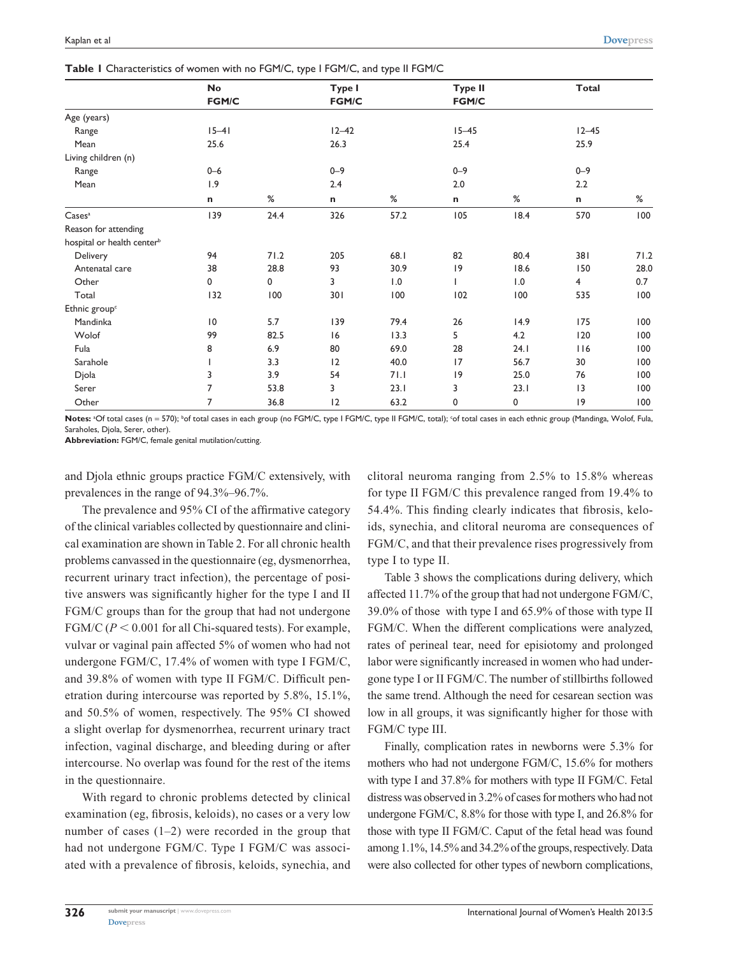**Table 1** Characteristics of women with no FGM/C, type I FGM/C, and type II FGM/C

|                                        | <b>No</b><br><b>FGM/C</b> |      | Type I<br><b>FGM/C</b> |      | <b>Type II</b><br><b>FGM/C</b> |      | <b>Total</b>   |      |
|----------------------------------------|---------------------------|------|------------------------|------|--------------------------------|------|----------------|------|
| Age (years)                            |                           |      |                        |      |                                |      |                |      |
| Range                                  | $15 - 41$                 |      | $12 - 42$              |      | $15 - 45$                      |      | $12 - 45$      |      |
| Mean                                   | 25.6                      |      | 26.3                   |      | 25.4                           |      | 25.9           |      |
| Living children (n)                    |                           |      |                        |      |                                |      |                |      |
| Range                                  | $0 - 6$                   |      | $0 - 9$                |      | $0 - 9$                        |      | $0 - 9$        |      |
| Mean                                   | 1.9                       |      | 2.4                    |      | 2.0                            |      | 2.2            |      |
|                                        | n                         | %    | n                      | %    | n                              | $\%$ | n              | %    |
| Cases <sup>a</sup>                     | 139                       | 24.4 | 326                    | 57.2 | 105                            | 18.4 | 570            | 100  |
| Reason for attending                   |                           |      |                        |      |                                |      |                |      |
| hospital or health center <sup>b</sup> |                           |      |                        |      |                                |      |                |      |
| Delivery                               | 94                        | 71.2 | 205                    | 68.1 | 82                             | 80.4 | 381            | 71.2 |
| Antenatal care                         | 38                        | 28.8 | 93                     | 30.9 | 9                              | 18.6 | 150            | 28.0 |
| Other                                  | 0                         | 0    | 3                      | 1.0  |                                | 1.0  | $\overline{4}$ | 0.7  |
| Total                                  | 132                       | 100  | 301                    | 100  | 102                            | 100  | 535            | 100  |
| Ethnic group <sup>c</sup>              |                           |      |                        |      |                                |      |                |      |
| Mandinka                               | $\overline{10}$           | 5.7  | 139                    | 79.4 | 26                             | 14.9 | 175            | 100  |
| Wolof                                  | 99                        | 82.5 | 16                     | 13.3 | 5                              | 4.2  | 120            | 100  |
| Fula                                   | 8                         | 6.9  | 80                     | 69.0 | 28                             | 24.1 | 116            | 100  |
| Sarahole                               | T                         | 3.3  | 12                     | 40.0 | 17                             | 56.7 | 30             | 100  |
| Djola                                  | 3                         | 3.9  | 54                     | 71.1 | 9                              | 25.0 | 76             | 100  |
| Serer                                  | 7                         | 53.8 | 3                      | 23.1 | 3                              | 23.1 | 3              | 100  |
| Other                                  | 7                         | 36.8 | 12                     | 63.2 | 0                              | 0    | 9              | 100  |

Notes: <sup>a</sup>Of total cases (n = 570); <sup>b</sup>of total cases in each group (no FGM/C, type I FGM/C, type II FGM/C, total); <sup>c</sup>of total cases in each ethnic group (Mandinga, Wolof, Fula, Saraholes, Diola, Serer, other).

**Abbreviation:** FGM/C, female genital mutilation/cutting.

and Djola ethnic groups practice FGM/C extensively, with prevalences in the range of 94.3%–96.7%.

The prevalence and 95% CI of the affirmative category of the clinical variables collected by questionnaire and clinical examination are shown in Table 2. For all chronic health problems canvassed in the questionnaire (eg, dysmenorrhea, recurrent urinary tract infection), the percentage of positive answers was significantly higher for the type I and II FGM/C groups than for the group that had not undergone FGM/C  $(P < 0.001$  for all Chi-squared tests). For example, vulvar or vaginal pain affected 5% of women who had not undergone FGM/C, 17.4% of women with type I FGM/C, and 39.8% of women with type II FGM/C. Difficult penetration during intercourse was reported by 5.8%, 15.1%, and 50.5% of women, respectively. The 95% CI showed a slight overlap for dysmenorrhea, recurrent urinary tract infection, vaginal discharge, and bleeding during or after intercourse. No overlap was found for the rest of the items in the questionnaire.

With regard to chronic problems detected by clinical examination (eg, fibrosis, keloids), no cases or a very low number of cases (1–2) were recorded in the group that had not undergone FGM/C. Type I FGM/C was associated with a prevalence of fibrosis, keloids, synechia, and clitoral neuroma ranging from 2.5% to 15.8% whereas for type II FGM/C this prevalence ranged from 19.4% to 54.4%. This finding clearly indicates that fibrosis, keloids, synechia, and clitoral neuroma are consequences of FGM/C, and that their prevalence rises progressively from type I to type II.

Table 3 shows the complications during delivery, which affected 11.7% of the group that had not undergone FGM/C, 39.0% of those with type I and 65.9% of those with type II FGM/C. When the different complications were analyzed, rates of perineal tear, need for episiotomy and prolonged labor were significantly increased in women who had undergone type I or II FGM/C. The number of stillbirths followed the same trend. Although the need for cesarean section was low in all groups, it was significantly higher for those with FGM/C type III.

Finally, complication rates in newborns were 5.3% for mothers who had not undergone FGM/C, 15.6% for mothers with type I and 37.8% for mothers with type II FGM/C. Fetal distress was observed in 3.2% of cases for mothers who had not undergone FGM/C, 8.8% for those with type I, and 26.8% for those with type II FGM/C. Caput of the fetal head was found among 1.1%, 14.5% and 34.2% of the groups, respectively. Data were also collected for other types of newborn complications,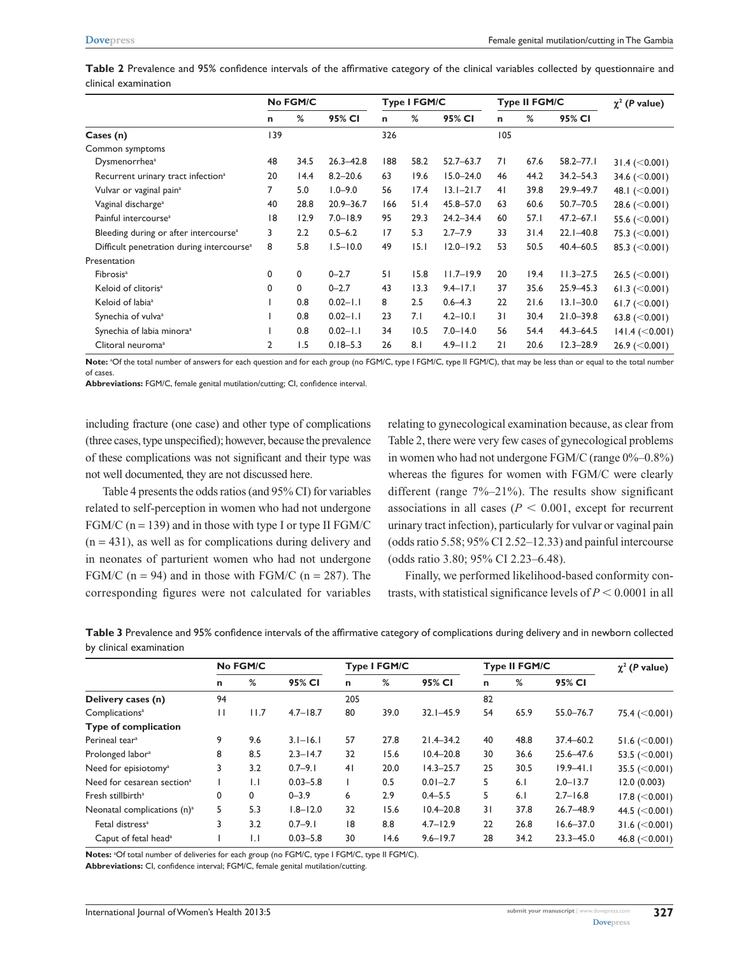|                                                       | No FGM/C     |      |               | Type I FGM/C |      |               | <b>Type II FGM/C</b> |      |               | $\chi^2$ (P value)               |
|-------------------------------------------------------|--------------|------|---------------|--------------|------|---------------|----------------------|------|---------------|----------------------------------|
|                                                       | n            | %    | 95% CI        | n            | %    | 95% CI        | $\mathbf n$          | %    | 95% CI        |                                  |
| Cases (n)                                             | 139          |      |               | 326          |      |               | 105                  |      |               |                                  |
| Common symptoms                                       |              |      |               |              |      |               |                      |      |               |                                  |
| Dysmenorrhea <sup>a</sup>                             | 48           | 34.5 | $26.3 - 42.8$ | 188          | 58.2 | $52.7 - 63.7$ | 71                   | 67.6 | $58.2 - 77.1$ | $31.4 \left( \leq 0.001 \right)$ |
| Recurrent urinary tract infection <sup>a</sup>        | 20           | 14.4 | $8.2 - 20.6$  | 63           | 19.6 | $15.0 - 24.0$ | 46                   | 44.2 | $34.2 - 54.3$ | 34.6 $(<0.001$ )                 |
| Vulvar or vaginal pain <sup>a</sup>                   | 7            | 5.0  | $1.0 - 9.0$   | 56           | 17.4 | $13.1 - 21.7$ | 41                   | 39.8 | 29.9-49.7     | 48.1 $(< 0.001$ )                |
| Vaginal discharge <sup>a</sup>                        | 40           | 28.8 | $20.9 - 36.7$ | 166          | 51.4 | 45.8-57.0     | 63                   | 60.6 | $50.7 - 70.5$ | 28.6 $(<0.001$ )                 |
| Painful intercourse <sup>a</sup>                      | 8            | 12.9 | $7.0 - 18.9$  | 95           | 29.3 | $24.2 - 34.4$ | 60                   | 57.1 | $47.2 - 67.1$ | 55.6 $(<0.001$ )                 |
| Bleeding during or after intercourse <sup>a</sup>     | 3            | 2.2  | $0.5 - 6.2$   | 17           | 5.3  | $2.7 - 7.9$   | 33                   | 31.4 | $22.1 - 40.8$ | 75.3 $(<0.001$ )                 |
| Difficult penetration during intercourse <sup>a</sup> | 8            | 5.8  | $1.5 - 10.0$  | 49           | 15.1 | $12.0 - 19.2$ | 53                   | 50.5 | $40.4 - 60.5$ | 85.3 $(<0.001$ )                 |
| Presentation                                          |              |      |               |              |      |               |                      |      |               |                                  |
| <b>Fibrosis<sup>a</sup></b>                           | 0            | 0    | $0 - 2.7$     | 51           | 15.8 | $11.7 - 19.9$ | 20                   | 19.4 | $11.3 - 27.5$ | 26.5 $(<0.001$ )                 |
| Keloid of clitoris <sup>a</sup>                       | $\mathbf{0}$ | 0    | $0 - 2.7$     | 43           | 13.3 | $9.4 - 17.1$  | 37                   | 35.6 | $25.9 - 45.3$ | 61.3 $(< 0.001$ )                |
| Keloid of labia <sup>a</sup>                          |              | 0.8  | $0.02 - 1.1$  | 8            | 2.5  | $0.6 - 4.3$   | 22                   | 21.6 | $13.1 - 30.0$ | 61.7 $(< 0.001$ )                |
| Synechia of vulva <sup>a</sup>                        |              | 0.8  | $0.02 - 1.1$  | 23           | 7.1  | $4.2 - 10.1$  | 31                   | 30.4 | $21.0 - 39.8$ | 63.8 $(<0.001$ )                 |
| Synechia of labia minora <sup>a</sup>                 |              | 0.8  | $0.02 - 1.1$  | 34           | 10.5 | $7.0 - 14.0$  | 56                   | 54.4 | $44.3 - 64.5$ | $141.4 \left( \le 0.001 \right)$ |
| Clitoral neuroma <sup>a</sup>                         | 2            | 1.5  | $0.18 - 5.3$  | 26           | 8.1  | $4.9 - 11.2$  | 21                   | 20.6 | $12.3 - 28.9$ | $26.9$ ( $< 0.001$ )             |

**Table 2** Prevalence and 95% confidence intervals of the affirmative category of the clinical variables collected by questionnaire and clinical examination

Note: <sup>2</sup>Of the total number of answers for each question and for each group (no FGM/C, type I FGM/C, type II FGM/C), that may be less than or equal to the total number of cases.

**Abbreviations:** FGM/C, female genital mutilation/cutting; CI, confidence interval.

including fracture (one case) and other type of complications (three cases, type unspecified); however, because the prevalence of these complications was not significant and their type was not well documented, they are not discussed here.

Table 4 presents the odds ratios (and 95% CI) for variables related to self-perception in women who had not undergone FGM/C  $(n = 139)$  and in those with type I or type II FGM/C  $(n = 431)$ , as well as for complications during delivery and in neonates of parturient women who had not undergone FGM/C ( $n = 94$ ) and in those with FGM/C ( $n = 287$ ). The corresponding figures were not calculated for variables relating to gynecological examination because, as clear from Table 2, there were very few cases of gynecological problems in women who had not undergone FGM/C (range 0%–0.8%) whereas the figures for women with FGM/C were clearly different (range 7%–21%). The results show significant associations in all cases  $(P < 0.001$ , except for recurrent urinary tract infection), particularly for vulvar or vaginal pain (odds ratio 5.58; 95% CI 2.52–12.33) and painful intercourse (odds ratio 3.80; 95% CI 2.23–6.48).

Finally, we performed likelihood-based conformity contrasts, with statistical significance levels of  $P \le 0.0001$  in all

|                                         | No FGM/C     |              |              | <b>Type I FGM/C</b> |      |               | <b>Type II FGM/C</b> |      |               | $\chi^2$ (P value) |
|-----------------------------------------|--------------|--------------|--------------|---------------------|------|---------------|----------------------|------|---------------|--------------------|
|                                         | n            | %            | 95% CI       | n                   | %    | 95% CI        | $\mathbf n$          | ℅    | 95% CI        |                    |
| Delivery cases (n)                      | 94           |              |              | 205                 |      |               | 82                   |      |               |                    |
| Complications <sup>a</sup>              | $\mathbf{H}$ | 11.7         | $4.7 - 18.7$ | 80                  | 39.0 | $32.1 - 45.9$ | 54                   | 65.9 | 55.0-76.7     | 75.4 $(<0.001$ )   |
| Type of complication                    |              |              |              |                     |      |               |                      |      |               |                    |
| Perineal tear <sup>a</sup>              | 9            | 9.6          | $3.1 - 16.1$ | 57                  | 27.8 | $21.4 - 34.2$ | 40                   | 48.8 | $37.4 - 60.2$ | 51.6 $(<0.001$ )   |
| Prolonged labor <sup>a</sup>            | 8            | 8.5          | $2.3 - 14.7$ | 32                  | 15.6 | $10.4 - 20.8$ | 30                   | 36.6 | 25.6-47.6     | 53.5 $(<0.001$ )   |
| Need for episiotomy <sup>a</sup>        | 3            | 3.2          | $0.7 - 9.1$  | 41                  | 20.0 | $14.3 - 25.7$ | 25                   | 30.5 | $19.9 - 41.1$ | 35.5 $(<0.001$ )   |
| Need for cesarean section <sup>a</sup>  |              | $\mathsf{L}$ | $0.03 - 5.8$ |                     | 0.5  | $0.01 - 2.7$  | 5.                   | 6.1  | $2.0 - 13.7$  | 12.0(0.003)        |
| Fresh stillbirth <sup>a</sup>           | 0            | 0            | $0 - 3.9$    | 6                   | 2.9  | $0.4 - 5.5$   | 5.                   | 6.1  | $2.7 - 16.8$  | 17.8 (< 0.001)     |
| Neonatal complications (n) <sup>a</sup> | 5.           | 5.3          | $1.8 - 12.0$ | 32                  | 15.6 | $10.4 - 20.8$ | 31                   | 37.8 | $26.7 - 48.9$ | 44.5 $(<0.001$ )   |
| Fetal distress <sup>a</sup>             | 3            | 3.2          | $0.7 - 9.1$  | 18                  | 8.8  | $4.7 - 12.9$  | 22                   | 26.8 | $16.6 - 37.0$ | 31.6 (< 0.001)     |
| Caput of fetal head <sup>a</sup>        |              | IJ           | $0.03 - 5.8$ | 30                  | 14.6 | $9.6 - 19.7$  | 28                   | 34.2 | $23.3 - 45.0$ | 46.8 $(<0.001$ )   |

**Table 3** Prevalence and 95% confidence intervals of the affirmative category of complications during delivery and in newborn collected by clinical examination

Notes: <sup>a</sup>Of total number of deliveries for each group (no FGM/C, type I FGM/C, type II FGM/C).

**Abbreviations:** CI, confidence interval; FGM/C, female genital mutilation/cutting.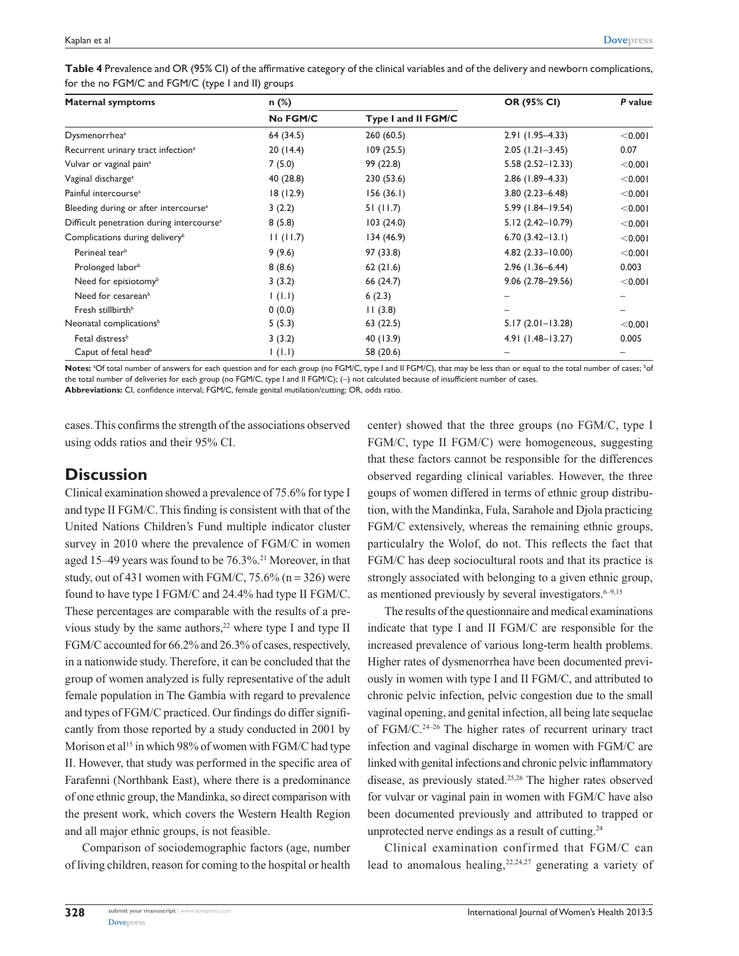| <b>Maternal symptoms</b>                              | n (%)     |                     | OR (95% CI)          | P value |  |
|-------------------------------------------------------|-----------|---------------------|----------------------|---------|--|
|                                                       | No FGM/C  | Type I and II FGM/C |                      |         |  |
| Dysmenorrhea <sup>a</sup>                             | 64 (34.5) | 260(60.5)           | $2.91(1.95-4.33)$    | < 0.001 |  |
| Recurrent urinary tract infection <sup>a</sup>        | 20(14.4)  | 109(25.5)           | $2.05(1.21 - 3.45)$  | 0.07    |  |
| Vulvar or vaginal pain <sup>a</sup>                   | 7(5.0)    | 99 (22.8)           | $5.58(2.52 - 12.33)$ | < 0.001 |  |
| Vaginal discharge <sup>a</sup>                        | 40 (28.8) | 230 (53.6)          | 2.86 (1.89-4.33)     | < 0.001 |  |
| Painful intercourse <sup>a</sup>                      | 18(12.9)  | 156(36.1)           | $3.80(2.23 - 6.48)$  | < 0.001 |  |
| Bleeding during or after intercourse <sup>a</sup>     | 3(2.2)    | 51(11.7)            | 5.99 (1.84-19.54)    | < 0.001 |  |
| Difficult penetration during intercourse <sup>a</sup> | 8(5.8)    | 103(24.0)           | $5.12(2.42 - 10.79)$ | < 0.001 |  |
| Complications during delivery <sup>b</sup>            | 11(11.7)  | 134 (46.9)          | $6.70(3.42 - 13.1)$  | < 0.001 |  |
| Perineal tear <sup>b</sup>                            | 9(9.6)    | 97 (33.8)           | $4.82(2.33 - 10.00)$ | < 0.001 |  |
| Prolonged labor <sup>b</sup>                          | 8(8.6)    | 62(21.6)            | $2.96(1.36 - 6.44)$  | 0.003   |  |
| Need for episiotomy <sup>b</sup>                      | 3(3.2)    | 66 (24.7)           | $9.06(2.78-29.56)$   | < 0.001 |  |
| Need for cesarean <sup>b</sup>                        | 1(1.1)    | 6(2.3)              |                      |         |  |
| Fresh stillbirth <sup>b</sup>                         | 0(0.0)    | 11(3.8)             |                      |         |  |
| Neonatal complications <sup>b</sup>                   | 5(5.3)    | 63 (22.5)           | $5.17(2.01 - 13.28)$ | < 0.001 |  |
| Fetal distress <sup>b</sup>                           | 3(3.2)    | 40 (13.9)           | 4.91 (1.48-13.27)    | 0.005   |  |
| Caput of fetal head <sup>b</sup>                      | 1(1.1)    | 58 (20.6)           |                      |         |  |

| Table 4 Prevalence and OR (95% CI) of the affirmative category of the clinical variables and of the delivery and newborn complications, |
|-----------------------------------------------------------------------------------------------------------------------------------------|
| for the no FGM/C and FGM/C (type I and II) groups                                                                                       |

Notes: <sup>a</sup>Of total number of answers for each question and for each group (no FGM/C, type I and II FGM/C), that may be less than or equal to the total number of cases; <sup>b</sup>of the total number of deliveries for each group (no FGM/C, type I and II FGM/C); (-) not calculated because of insufficient number of cases. **Abbreviations:** CI, confidence interval; FGM/C, female genital mutilation/cutting; OR, odds ratio.

cases. This confirms the strength of the associations observed using odds ratios and their 95% CI.

## **Discussion**

Clinical examination showed a prevalence of 75.6% for type I and type II FGM/C. This finding is consistent with that of the United Nations Children's Fund multiple indicator cluster survey in 2010 where the prevalence of FGM/C in women aged 15–49 years was found to be  $76.3\%$ <sup>21</sup> Moreover, in that study, out of 431 women with FGM/C, 75.6% (n = 326) were found to have type I FGM/C and 24.4% had type II FGM/C. These percentages are comparable with the results of a previous study by the same authors, $22$  where type I and type II FGM/C accounted for 66.2% and 26.3% of cases, respectively, in a nationwide study. Therefore, it can be concluded that the group of women analyzed is fully representative of the adult female population in The Gambia with regard to prevalence and types of FGM/C practiced. Our findings do differ significantly from those reported by a study conducted in 2001 by Morison et al<sup>15</sup> in which 98% of women with FGM/C had type II. However, that study was performed in the specific area of Farafenni (Northbank East), where there is a predominance of one ethnic group, the Mandinka, so direct comparison with the present work, which covers the Western Health Region and all major ethnic groups, is not feasible.

Comparison of sociodemographic factors (age, number of living children, reason for coming to the hospital or health center) showed that the three groups (no FGM/C, type I FGM/C, type II FGM/C) were homogeneous, suggesting that these factors cannot be responsible for the differences observed regarding clinical variables. However, the three goups of women differed in terms of ethnic group distribution, with the Mandinka, Fula, Sarahole and Djola practicing FGM/C extensively, whereas the remaining ethnic groups, particulalry the Wolof, do not. This reflects the fact that FGM/C has deep sociocultural roots and that its practice is strongly associated with belonging to a given ethnic group, as mentioned previously by several investigators. $6-9,15$ 

The results of the questionnaire and medical examinations indicate that type I and II FGM/C are responsible for the increased prevalence of various long-term health problems. Higher rates of dysmenorrhea have been documented previously in women with type I and II FGM/C, and attributed to chronic pelvic infection, pelvic congestion due to the small vaginal opening, and genital infection, all being late sequelae of FGM/C.24–26 The higher rates of recurrent urinary tract infection and vaginal discharge in women with FGM/C are linked with genital infections and chronic pelvic inflammatory disease, as previously stated.25,26 The higher rates observed for vulvar or vaginal pain in women with FGM/C have also been documented previously and attributed to trapped or unprotected nerve endings as a result of cutting.<sup>24</sup>

Clinical examination confirmed that FGM/C can lead to anomalous healing, $22,24,27$  generating a variety of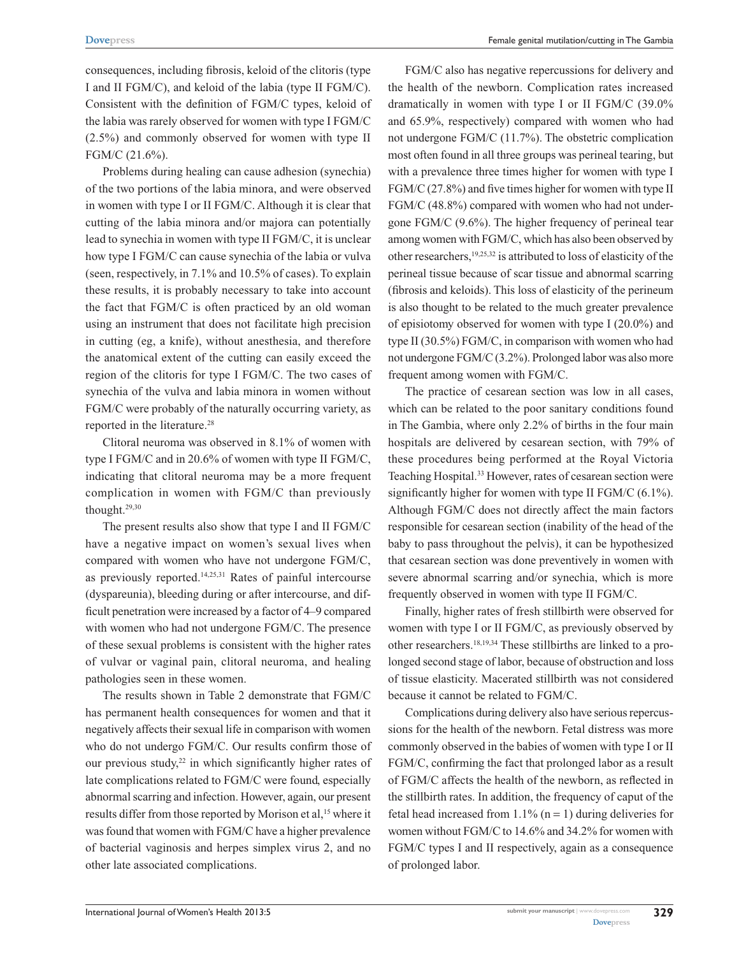consequences, including fibrosis, keloid of the clitoris (type I and II FGM/C), and keloid of the labia (type II FGM/C). Consistent with the definition of FGM/C types, keloid of the labia was rarely observed for women with type I FGM/C (2.5%) and commonly observed for women with type II FGM/C (21.6%).

Problems during healing can cause adhesion (synechia) of the two portions of the labia minora, and were observed in women with type I or II FGM/C. Although it is clear that cutting of the labia minora and/or majora can potentially lead to synechia in women with type II FGM/C, it is unclear how type I FGM/C can cause synechia of the labia or vulva (seen, respectively, in 7.1% and 10.5% of cases). To explain these results, it is probably necessary to take into account the fact that FGM/C is often practiced by an old woman using an instrument that does not facilitate high precision in cutting (eg, a knife), without anesthesia, and therefore the anatomical extent of the cutting can easily exceed the region of the clitoris for type I FGM/C. The two cases of synechia of the vulva and labia minora in women without FGM/C were probably of the naturally occurring variety, as reported in the literature.<sup>28</sup>

Clitoral neuroma was observed in 8.1% of women with type I FGM/C and in 20.6% of women with type II FGM/C, indicating that clitoral neuroma may be a more frequent complication in women with FGM/C than previously thought.29,30

The present results also show that type I and II FGM/C have a negative impact on women's sexual lives when compared with women who have not undergone FGM/C, as previously reported.<sup>14,25,31</sup> Rates of painful intercourse (dyspareunia), bleeding during or after intercourse, and difficult penetration were increased by a factor of 4–9 compared with women who had not undergone FGM/C. The presence of these sexual problems is consistent with the higher rates of vulvar or vaginal pain, clitoral neuroma, and healing pathologies seen in these women.

The results shown in Table 2 demonstrate that FGM/C has permanent health consequences for women and that it negatively affects their sexual life in comparison with women who do not undergo FGM/C. Our results confirm those of our previous study,<sup>22</sup> in which significantly higher rates of late complications related to FGM/C were found, especially abnormal scarring and infection. However, again, our present results differ from those reported by Morison et al,<sup>15</sup> where it was found that women with FGM/C have a higher prevalence of bacterial vaginosis and herpes simplex virus 2, and no other late associated complications.

FGM/C also has negative repercussions for delivery and the health of the newborn. Complication rates increased dramatically in women with type I or II FGM/C (39.0% and 65.9%, respectively) compared with women who had not undergone FGM/C (11.7%). The obstetric complication most often found in all three groups was perineal tearing, but with a prevalence three times higher for women with type I FGM/C (27.8%) and five times higher for women with type II FGM/C (48.8%) compared with women who had not undergone FGM/C (9.6%). The higher frequency of perineal tear among women with FGM/C, which has also been observed by other researchers,19,25,32 is attributed to loss of elasticity of the perineal tissue because of scar tissue and abnormal scarring (fibrosis and keloids). This loss of elasticity of the perineum is also thought to be related to the much greater prevalence of episiotomy observed for women with type I (20.0%) and type II (30.5%) FGM/C, in comparison with women who had not undergone FGM/C (3.2%). Prolonged labor was also more frequent among women with FGM/C.

The practice of cesarean section was low in all cases, which can be related to the poor sanitary conditions found in The Gambia, where only 2.2% of births in the four main hospitals are delivered by cesarean section, with 79% of these procedures being performed at the Royal Victoria Teaching Hospital.<sup>33</sup> However, rates of cesarean section were significantly higher for women with type II FGM/C (6.1%). Although FGM/C does not directly affect the main factors responsible for cesarean section (inability of the head of the baby to pass throughout the pelvis), it can be hypothesized that cesarean section was done preventively in women with severe abnormal scarring and/or synechia, which is more frequently observed in women with type II FGM/C.

Finally, higher rates of fresh stillbirth were observed for women with type I or II FGM/C, as previously observed by other researchers.18,19,34 These stillbirths are linked to a prolonged second stage of labor, because of obstruction and loss of tissue elasticity. Macerated stillbirth was not considered because it cannot be related to FGM/C.

Complications during delivery also have serious repercussions for the health of the newborn. Fetal distress was more commonly observed in the babies of women with type I or II FGM/C, confirming the fact that prolonged labor as a result of FGM/C affects the health of the newborn, as reflected in the stillbirth rates. In addition, the frequency of caput of the fetal head increased from 1.1% ( $n = 1$ ) during deliveries for women without FGM/C to 14.6% and 34.2% for women with FGM/C types I and II respectively, again as a consequence of prolonged labor.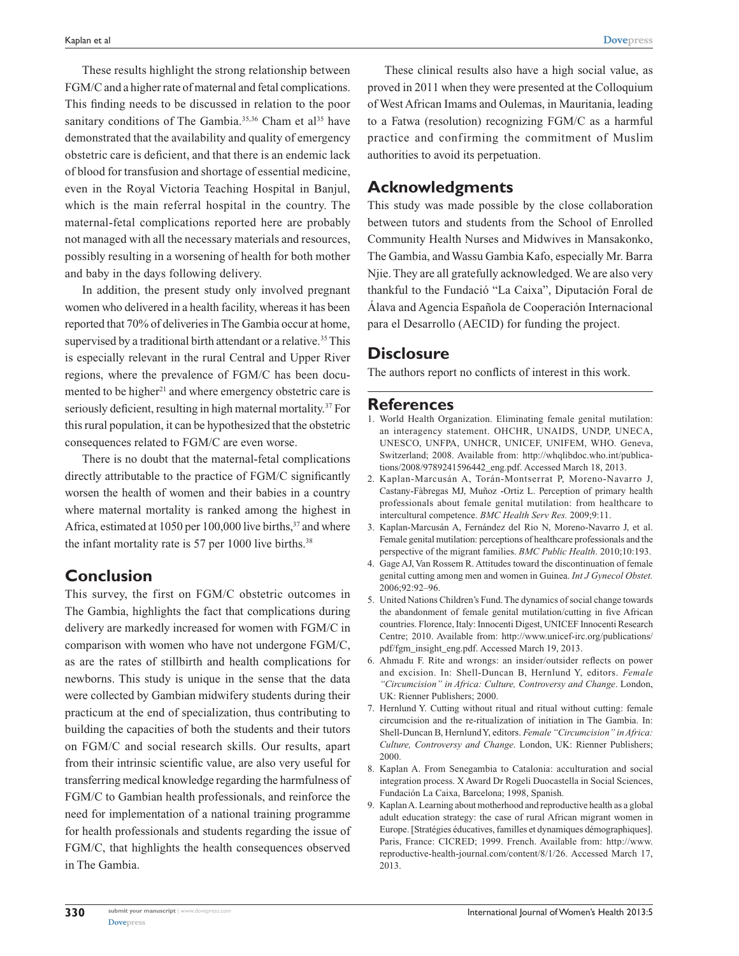These results highlight the strong relationship between FGM/C and a higher rate of maternal and fetal complications. This finding needs to be discussed in relation to the poor sanitary conditions of The Gambia.<sup>35,36</sup> Cham et al<sup>35</sup> have demonstrated that the availability and quality of emergency obstetric care is deficient, and that there is an endemic lack of blood for transfusion and shortage of essential medicine, even in the Royal Victoria Teaching Hospital in Banjul, which is the main referral hospital in the country. The maternal-fetal complications reported here are probably not managed with all the necessary materials and resources, possibly resulting in a worsening of health for both mother and baby in the days following delivery.

In addition, the present study only involved pregnant women who delivered in a health facility, whereas it has been reported that 70% of deliveries in The Gambia occur at home, supervised by a traditional birth attendant or a relative.<sup>35</sup> This is especially relevant in the rural Central and Upper River regions, where the prevalence of FGM/C has been documented to be higher<sup>21</sup> and where emergency obstetric care is seriously deficient, resulting in high maternal mortality.<sup>37</sup> For this rural population, it can be hypothesized that the obstetric consequences related to FGM/C are even worse.

There is no doubt that the maternal-fetal complications directly attributable to the practice of FGM/C significantly worsen the health of women and their babies in a country where maternal mortality is ranked among the highest in Africa, estimated at 1050 per 100,000 live births, $37$  and where the infant mortality rate is 57 per 1000 live births. $38$ 

# **Conclusion**

This survey, the first on FGM/C obstetric outcomes in The Gambia, highlights the fact that complications during delivery are markedly increased for women with FGM/C in comparison with women who have not undergone FGM/C, as are the rates of stillbirth and health complications for newborns. This study is unique in the sense that the data were collected by Gambian midwifery students during their practicum at the end of specialization, thus contributing to building the capacities of both the students and their tutors on FGM/C and social research skills. Our results, apart from their intrinsic scientific value, are also very useful for transferring medical knowledge regarding the harmfulness of FGM/C to Gambian health professionals, and reinforce the need for implementation of a national training programme for health professionals and students regarding the issue of FGM/C, that highlights the health consequences observed in The Gambia.

These clinical results also have a high social value, as proved in 2011 when they were presented at the Colloquium of West African Imams and Oulemas, in Mauritania, leading to a Fatwa (resolution) recognizing FGM/C as a harmful practice and confirming the commitment of Muslim authorities to avoid its perpetuation.

#### **Acknowledgments**

This study was made possible by the close collaboration between tutors and students from the School of Enrolled Community Health Nurses and Midwives in Mansakonko, The Gambia, and Wassu Gambia Kafo, especially Mr. Barra Njie. They are all gratefully acknowledged. We are also very thankful to the Fundació "La Caixa", Diputación Foral de Álava and Agencia Española de Cooperación Internacional para el Desarrollo (AECID) for funding the project.

## **Disclosure**

The authors report no conflicts of interest in this work.

#### **References**

- 1. World Health Organization. Eliminating female genital mutilation: an interagency statement. OHCHR, UNAIDS, UNDP, UNECA, UNESCO, UNFPA, UNHCR, UNICEF, UNIFEM, WHO. Geneva, Switzerland; 2008. Available from: [http://whqlibdoc.who.int/publica](http://whqlibdoc.who.int/publications/2008/9789241596442_eng.pdf. Accessed March 18)[tions/2008/9789241596442\\_eng.pdf. Accessed March 18](http://whqlibdoc.who.int/publications/2008/9789241596442_eng.pdf. Accessed March 18), 2013.
- 2. Kaplan-Marcusán A, Torán-Montserrat P, Moreno-Navarro J, Castany-Fàbregas MJ, Muñoz -Ortiz L. Perception of primary health professionals about female genital mutilation: from healthcare to intercultural competence. *BMC Health Serv Res.* 2009;9:11.
- 3. Kaplan-Marcusán A, Fernández del Rio N, Moreno-Navarro J, et al. Female genital mutilation: perceptions of healthcare professionals and the perspective of the migrant families. *BMC Public Health*. 2010;10:193.
- 4. Gage AJ, Van Rossem R. Attitudes toward the discontinuation of female genital cutting among men and women in Guinea. *Int J Gynecol Obstet.* 2006;92:92–96.
- 5. United Nations Children's Fund. The dynamics of social change towards the abandonment of female genital mutilation/cutting in five African countries. Florence, Italy: Innocenti Digest, UNICEF Innocenti Research Centre; 2010. Available from: [http://www.unicef-irc.org/publications/](http://www.unicef-irc.org/publications/pdf/fgm_insight_eng.pdf) [pdf/fgm\\_insight\\_eng.pdf](http://www.unicef-irc.org/publications/pdf/fgm_insight_eng.pdf). Accessed March 19, 2013.
- 6. Ahmadu F. Rite and wrongs: an insider/outsider reflects on power and excision. In: Shell-Duncan B, Hernlund Y, editors. *Female "Circumcision" in Africa: Culture, Controversy and Change*. London, UK: Rienner Publishers; 2000.
- 7. Hernlund Y. Cutting without ritual and ritual without cutting: female circumcision and the re-ritualization of initiation in The Gambia. In: Shell-Duncan B, Hernlund Y, editors. *Female "Circumcision" in Africa: Culture, Controversy and Change*. London, UK: Rienner Publishers; 2000.
- 8. Kaplan A. From Senegambia to Catalonia: acculturation and social integration process. X Award Dr Rogeli Duocastella in Social Sciences, Fundación La Caixa, Barcelona; 1998, Spanish.
- 9. Kaplan A. Learning about motherhood and reproductive health as a global adult education strategy: the case of rural African migrant women in Europe. [Stratégies éducatives, familles et dynamiques démographiques]. Paris, France: CICRED; 1999. French. Available from: [http://www.](http://www.reproductive-health-journal.com/content/8/1/26) [reproductive-health-journal.com/content/8/1/26.](http://www.reproductive-health-journal.com/content/8/1/26) Accessed March 17, 2013.